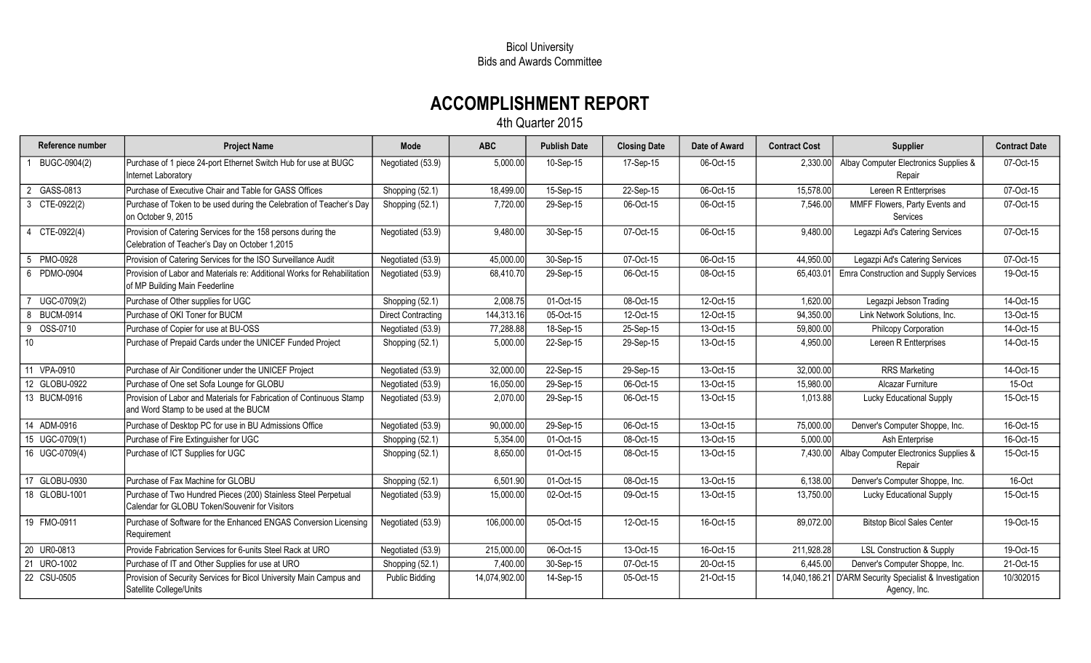## Bicol University Bids and Awards Committee

## ACCOMPLISHMENT REPORT

4th Quarter 2015

| Reference number      | <b>Project Name</b>                                                                                              | Mode                      | <b>ABC</b>    | <b>Publish Date</b> | <b>Closing Date</b> | Date of Award | <b>Contract Cost</b> | <b>Supplier</b>                                                         | <b>Contract Date</b> |
|-----------------------|------------------------------------------------------------------------------------------------------------------|---------------------------|---------------|---------------------|---------------------|---------------|----------------------|-------------------------------------------------------------------------|----------------------|
| BUGC-0904(2)          | Purchase of 1 piece 24-port Ethernet Switch Hub for use at BUGC<br>Internet Laboratory                           | Negotiated (53.9)         | 5,000.00      | 10-Sep-15           | 17-Sep-15           | 06-Oct-15     | 2,330.00             | Albay Computer Electronics Supplies &<br>Repair                         | 07-Oct-15            |
| GASS-0813             | Purchase of Executive Chair and Table for GASS Offices                                                           | Shopping (52.1)           | 18,499.00     | 15-Sep-15           | 22-Sep-15           | 06-Oct-15     | 15,578.00            | Lereen R Entterprises                                                   | 07-Oct-15            |
| CTE-0922(2)<br>3      | Purchase of Token to be used during the Celebration of Teacher's Day<br>on October 9, 2015                       | Shopping (52.1)           | 7,720.00      | 29-Sep-15           | 06-Oct-15           | 06-Oct-15     | 7,546.00             | MMFF Flowers, Party Events and<br>Services                              | 07-Oct-15            |
| CTE-0922(4)           | Provision of Catering Services for the 158 persons during the<br>Celebration of Teacher's Day on October 1,2015  | Negotiated (53.9)         | 9,480.00      | 30-Sep-15           | 07-Oct-15           | 06-Oct-15     | 9,480.00             | Legazpi Ad's Catering Services                                          | 07-Oct-15            |
| PMO-0928<br>5         | Provision of Catering Services for the ISO Surveillance Audit                                                    | Negotiated (53.9)         | 45,000.00     | 30-Sep-15           | 07-Oct-15           | 06-Oct-15     | 44,950.00            | Legazpi Ad's Catering Services                                          | 07-Oct-15            |
| 6 PDMO-0904           | Provision of Labor and Materials re: Additional Works for Rehabilitation<br>of MP Building Main Feederline       | Negotiated (53.9)         | 68,410.70     | 29-Sep-15           | 06-Oct-15           | 08-Oct-15     | 65,403.01            | <b>Emra Construction and Supply Services</b>                            | 19-Oct-15            |
| UGC-0709(2)           | Purchase of Other supplies for UGC                                                                               | Shopping (52.1)           | 2,008.75      | 01-Oct-15           | 08-Oct-15           | 12-Oct-15     | 1,620.00             | Legazpi Jebson Trading                                                  | 14-Oct-15            |
| <b>BUCM-0914</b><br>8 | Purchase of OKI Toner for BUCM                                                                                   | <b>Direct Contracting</b> | 144,313.16    | 05-Oct-15           | 12-Oct-15           | 12-Oct-15     | 94,350.00            | Link Network Solutions, Inc.                                            | 13-Oct-15            |
| OSS-0710<br>9         | Purchase of Copier for use at BU-OSS                                                                             | Negotiated (53.9)         | 77,288.88     | 18-Sep-15           | 25-Sep-15           | 13-Oct-15     | 59,800.00            | Philcopy Corporation                                                    | 14-Oct-15            |
| 10 <sup>°</sup>       | Purchase of Prepaid Cards under the UNICEF Funded Project                                                        | Shopping (52.1)           | 5,000.00      | 22-Sep-15           | 29-Sep-15           | 13-Oct-15     | 4,950.00             | Lereen R Entterprises                                                   | 14-Oct-15            |
| 11 VPA-0910           | Purchase of Air Conditioner under the UNICEF Project                                                             | Negotiated (53.9)         | 32,000.00     | 22-Sep-15           | 29-Sep-15           | 13-Oct-15     | 32,000.00            | <b>RRS Marketing</b>                                                    | 14-Oct-15            |
| 12 GLOBU-0922         | Purchase of One set Sofa Lounge for GLOBU                                                                        | Negotiated (53.9)         | 16,050.00     | 29-Sep-15           | 06-Oct-15           | 13-Oct-15     | 15,980.00            | Alcazar Furniture                                                       | 15-Oct               |
| 13 BUCM-0916          | Provision of Labor and Materials for Fabrication of Continuous Stamp<br>and Word Stamp to be used at the BUCM    | Negotiated (53.9)         | 2,070.00      | 29-Sep-15           | 06-Oct-15           | 13-Oct-15     | 1,013.88             | Lucky Educational Supply                                                | 15-Oct-15            |
| 14 ADM-0916           | Purchase of Desktop PC for use in BU Admissions Office                                                           | Negotiated (53.9)         | 90,000.00     | 29-Sep-15           | 06-Oct-15           | 13-Oct-15     | 75,000.00            | Denver's Computer Shoppe, Inc.                                          | 16-Oct-15            |
| 15 UGC-0709(1)        | Purchase of Fire Extinguisher for UGC                                                                            | Shopping (52.1)           | 5,354.00      | 01-Oct-15           | 08-Oct-15           | 13-Oct-15     | 5,000.00             | Ash Enterprise                                                          | 16-Oct-15            |
| 16 UGC-0709(4)        | Purchase of ICT Supplies for UGC                                                                                 | Shopping (52.1)           | 8,650.00      | 01-Oct-15           | 08-Oct-15           | 13-Oct-15     | 7,430.00             | Albay Computer Electronics Supplies &<br>Repair                         | 15-Oct-15            |
| GLOBU-0930<br>17      | Purchase of Fax Machine for GLOBU                                                                                | Shopping (52.1)           | 6,501.90      | 01-Oct-15           | 08-Oct-15           | 13-Oct-15     | 6,138.00             | Denver's Computer Shoppe, Inc.                                          | 16-Oct               |
| 18 GLOBU-1001         | Purchase of Two Hundred Pieces (200) Stainless Steel Perpetual<br>Calendar for GLOBU Token/Souvenir for Visitors | Negotiated (53.9)         | 15,000.00     | 02-Oct-15           | 09-Oct-15           | 13-Oct-15     | 13,750.00            | Lucky Educational Supply                                                | 15-Oct-15            |
| 19 FMO-0911           | Purchase of Software for the Enhanced ENGAS Conversion Licensing<br>Requirement                                  | Negotiated (53.9)         | 106,000.00    | 05-Oct-15           | 12-Oct-15           | 16-Oct-15     | 89,072.00            | <b>Bitstop Bicol Sales Center</b>                                       | 19-Oct-15            |
| 20 UR0-0813           | Provide Fabrication Services for 6-units Steel Rack at URO                                                       | Negotiated (53.9)         | 215,000.00    | 06-Oct-15           | 13-Oct-15           | 16-Oct-15     | 211,928.28           | <b>LSL Construction &amp; Supply</b>                                    | 19-Oct-15            |
| 21 URO-1002           | Purchase of IT and Other Supplies for use at URO                                                                 | Shopping (52.1)           | 7,400.00      | 30-Sep-15           | 07-Oct-15           | 20-Oct-15     | 6,445.00             | Denver's Computer Shoppe, Inc.                                          | 21-Oct-15            |
| 22 CSU-0505           | Provision of Security Services for Bicol University Main Campus and<br>Satellite College/Units                   | <b>Public Bidding</b>     | 14,074,902.00 | 14-Sep-15           | 05-Oct-15           | 21-Oct-15     |                      | 14,040,186.21 D'ARM Security Specialist & Investigation<br>Agency, Inc. | 10/302015            |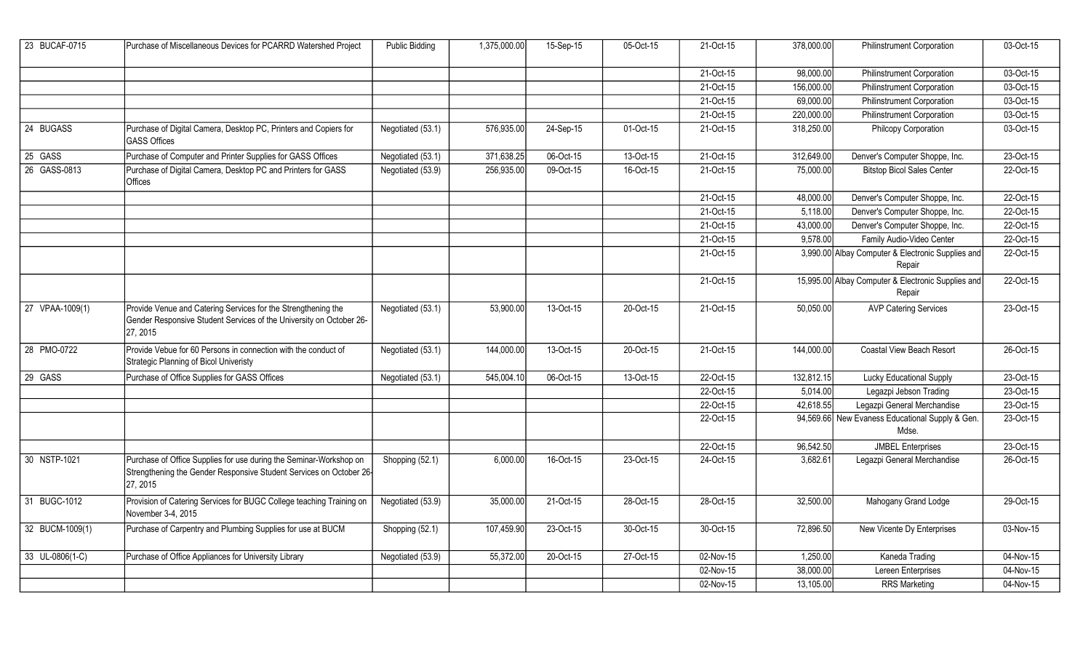| 23 BUCAF-0715   | Purchase of Miscellaneous Devices for PCARRD Watershed Project                                                                                        | <b>Public Bidding</b> | 1,375,000.00 | 15-Sep-15   | 05-Oct-15 | 21-Oct-15 | 378,000.00 | <b>Philinstrument Corporation</b>                            | 03-Oct-15 |
|-----------------|-------------------------------------------------------------------------------------------------------------------------------------------------------|-----------------------|--------------|-------------|-----------|-----------|------------|--------------------------------------------------------------|-----------|
|                 |                                                                                                                                                       |                       |              |             |           | 21-Oct-15 | 98,000.00  | <b>Philinstrument Corporation</b>                            | 03-Oct-15 |
|                 |                                                                                                                                                       |                       |              |             |           | 21-Oct-15 | 156,000.00 | <b>Philinstrument Corporation</b>                            | 03-Oct-15 |
|                 |                                                                                                                                                       |                       |              |             |           | 21-Oct-15 | 69,000.00  | Philinstrument Corporation                                   | 03-Oct-15 |
|                 |                                                                                                                                                       |                       |              |             |           | 21-Oct-15 | 220,000.00 | <b>Philinstrument Corporation</b>                            | 03-Oct-15 |
| 24 BUGASS       | Purchase of Digital Camera, Desktop PC, Printers and Copiers for<br><b>GASS Offices</b>                                                               | Negotiated (53.1)     | 576,935.00   | $24-Sep-15$ | 01-Oct-15 | 21-Oct-15 | 318,250.00 | Philcopy Corporation                                         | 03-Oct-15 |
| 25 GASS         | Purchase of Computer and Printer Supplies for GASS Offices                                                                                            | Negotiated (53.1)     | 371,638.25   | 06-Oct-15   | 13-Oct-15 | 21-Oct-15 | 312,649.00 | Denver's Computer Shoppe, Inc.                               | 23-Oct-15 |
| 26 GASS-0813    | Purchase of Digital Camera, Desktop PC and Printers for GASS<br>Offices                                                                               | Negotiated (53.9)     | 256,935.00   | 09-Oct-15   | 16-Oct-15 | 21-Oct-15 | 75,000.00  | <b>Bitstop Bicol Sales Center</b>                            | 22-Oct-15 |
|                 |                                                                                                                                                       |                       |              |             |           | 21-Oct-15 | 48,000.00  | Denver's Computer Shoppe, Inc.                               | 22-Oct-15 |
|                 |                                                                                                                                                       |                       |              |             |           | 21-Oct-15 | 5,118.00   | Denver's Computer Shoppe, Inc.                               | 22-Oct-15 |
|                 |                                                                                                                                                       |                       |              |             |           | 21-Oct-15 | 43,000.00  | Denver's Computer Shoppe, Inc.                               | 22-Oct-15 |
|                 |                                                                                                                                                       |                       |              |             |           | 21-Oct-15 | 9,578.00   | Family Audio-Video Center                                    | 22-Oct-15 |
|                 |                                                                                                                                                       |                       |              |             |           | 21-Oct-15 |            | 3,990.00 Albay Computer & Electronic Supplies and<br>Repair  | 22-Oct-15 |
|                 |                                                                                                                                                       |                       |              |             |           | 21-Oct-15 |            | 15,995.00 Albay Computer & Electronic Supplies and<br>Repair | 22-Oct-15 |
| 27 VPAA-1009(1) | Provide Venue and Catering Services for the Strengthening the<br>Gender Responsive Student Services of the University on October 26-<br>27, 2015      | Negotiated (53.1)     | 53,900.00    | 13-Oct-15   | 20-Oct-15 | 21-Oct-15 | 50,050.00  | <b>AVP Catering Services</b>                                 | 23-Oct-15 |
| 28 PMO-0722     | Provide Vebue for 60 Persons in connection with the conduct of<br>Strategic Planning of Bicol Univeristy                                              | Negotiated (53.1)     | 144,000.00   | 13-Oct-15   | 20-Oct-15 | 21-Oct-15 | 144,000.00 | Coastal View Beach Resort                                    | 26-Oct-15 |
| 29 GASS         | Purchase of Office Supplies for GASS Offices                                                                                                          | Negotiated (53.1)     | 545,004.10   | 06-Oct-15   | 13-Oct-15 | 22-Oct-15 | 132,812.15 | Lucky Educational Supply                                     | 23-Oct-15 |
|                 |                                                                                                                                                       |                       |              |             |           | 22-Oct-15 | 5,014.00   | Legazpi Jebson Trading                                       | 23-Oct-15 |
|                 |                                                                                                                                                       |                       |              |             |           | 22-Oct-15 | 42,618.55  | Legazpi General Merchandise                                  | 23-Oct-15 |
|                 |                                                                                                                                                       |                       |              |             |           | 22-Oct-15 |            | 94,569.66 New Evaness Educational Supply & Gen.<br>Mdse.     | 23-Oct-15 |
|                 |                                                                                                                                                       |                       |              |             |           | 22-Oct-15 | 96,542.50  | <b>JMBEL Enterprises</b>                                     | 23-Oct-15 |
| 30 NSTP-1021    | Purchase of Office Supplies for use during the Seminar-Workshop on<br>Strengthening the Gender Responsive Student Services on October 26-<br>27, 2015 | Shopping (52.1)       | 6,000.00     | 16-Oct-15   | 23-Oct-15 | 24-Oct-15 | 3,682.61   | Legazpi General Merchandise                                  | 26-Oct-15 |
| 31 BUGC-1012    | Provision of Catering Services for BUGC College teaching Training on<br>November 3-4, 2015                                                            | Negotiated (53.9)     | 35,000.00    | 21-Oct-15   | 28-Oct-15 | 28-Oct-15 | 32,500.00  | Mahogany Grand Lodge                                         | 29-Oct-15 |
| 32 BUCM-1009(1) | Purchase of Carpentry and Plumbing Supplies for use at BUCM                                                                                           | Shopping (52.1)       | 107,459.90   | 23-Oct-15   | 30-Oct-15 | 30-Oct-15 | 72,896.50  | New Vicente Dy Enterprises                                   | 03-Nov-15 |
| 33 UL-0806(1-C) | Purchase of Office Appliances for University Library                                                                                                  | Negotiated (53.9)     | 55,372.00    | 20-Oct-15   | 27-Oct-15 | 02-Nov-15 | 1,250.00   | Kaneda Trading                                               | 04-Nov-15 |
|                 |                                                                                                                                                       |                       |              |             |           | 02-Nov-15 | 38,000.00  | Lereen Enterprises                                           | 04-Nov-15 |
|                 |                                                                                                                                                       |                       |              |             |           | 02-Nov-15 | 13,105.00  | <b>RRS Marketing</b>                                         | 04-Nov-15 |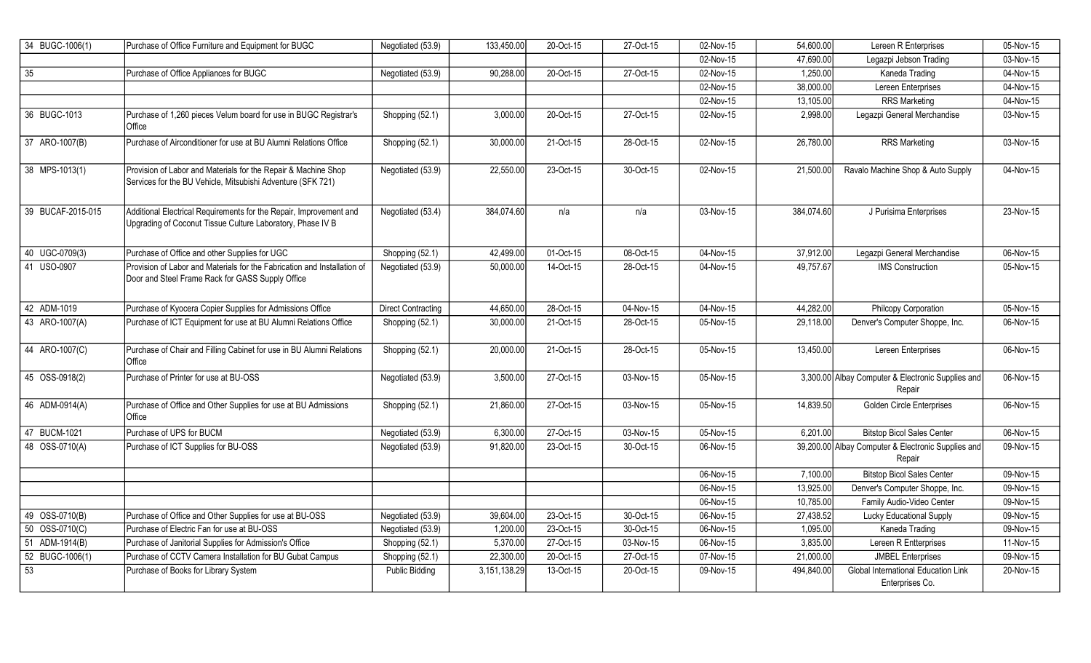| 34 BUGC-1006(1)   | Purchase of Office Furniture and Equipment for BUGC                                                                              | Negotiated (53.9)         | 133,450.00   | 20-Oct-15               | 27-Oct-15 | 02-Nov-15               | 54,600.00  | Lereen R Enterprises                                          | 05-Nov-15 |
|-------------------|----------------------------------------------------------------------------------------------------------------------------------|---------------------------|--------------|-------------------------|-----------|-------------------------|------------|---------------------------------------------------------------|-----------|
|                   |                                                                                                                                  |                           |              |                         |           | 02-Nov-15               | 47,690.00  | Legazpi Jebson Trading                                        | 03-Nov-15 |
| 35                | Purchase of Office Appliances for BUGC                                                                                           | Negotiated (53.9)         | 90,288.00    | 20-Oct-15               | 27-Oct-15 | 02-Nov-15               | 1,250.00   | Kaneda Trading                                                | 04-Nov-15 |
|                   |                                                                                                                                  |                           |              |                         |           | 02-Nov-15               | 38,000.00  | Lereen Enterprises                                            | 04-Nov-15 |
|                   |                                                                                                                                  |                           |              |                         |           | $\overline{02}$ -Nov-15 | 13,105.00  | <b>RRS Marketing</b>                                          | 04-Nov-15 |
| 36 BUGC-1013      | Purchase of 1,260 pieces Velum board for use in BUGC Registrar's<br>Office                                                       | Shopping (52.1)           | 3,000.00     | 20-Oct-15               | 27-Oct-15 | 02-Nov-15               | 2,998.00   | Legazpi General Merchandise                                   | 03-Nov-15 |
| 37 ARO-1007(B)    | Purchase of Airconditioner for use at BU Alumni Relations Office                                                                 | Shopping (52.1)           | 30,000.00    | 21-Oct-15               | 28-Oct-15 | 02-Nov-15               | 26,780.00  | <b>RRS Marketing</b>                                          | 03-Nov-15 |
| 38 MPS-1013(1)    | Provision of Labor and Materials for the Repair & Machine Shop<br>Services for the BU Vehicle, Mitsubishi Adventure (SFK 721)    | Negotiated (53.9)         | 22,550.00    | 23-Oct-15               | 30-Oct-15 | 02-Nov-15               | 21,500.00  | Ravalo Machine Shop & Auto Supply                             | 04-Nov-15 |
| 39 BUCAF-2015-015 | Additional Electrical Requirements for the Repair, Improvement and<br>Upgrading of Coconut Tissue Culture Laboratory, Phase IV B | Negotiated (53.4)         | 384,074.60   | n/a                     | n/a       | 03-Nov-15               | 384,074.60 | J Purisima Enterprises                                        | 23-Nov-15 |
| 40 UGC-0709(3)    | Purchase of Office and other Supplies for UGC                                                                                    | Shopping (52.1)           | 42,499.00    | 01-Oct-15               | 08-Oct-15 | 04-Nov-15               | 37,912.00  | Legazpi General Merchandise                                   | 06-Nov-15 |
| 41 USO-0907       | Provision of Labor and Materials for the Fabrication and Installation of<br>Door and Steel Frame Rack for GASS Supply Office     | Negotiated (53.9)         | 50,000.00    | 14-Oct-15               | 28-Oct-15 | 04-Nov-15               | 49,757.67  | <b>IMS Construction</b>                                       | 05-Nov-15 |
| 42 ADM-1019       | Purchase of Kyocera Copier Supplies for Admissions Office                                                                        | <b>Direct Contracting</b> | 44,650.00    | 28-Oct-15               | 04-Nov-15 | 04-Nov-15               | 44,282.00  | Philcopy Corporation                                          | 05-Nov-15 |
| 43 ARO-1007(A)    | Purchase of ICT Equipment for use at BU Alumni Relations Office                                                                  | Shopping (52.1)           | 30,000.00    | 21-Oct-15               | 28-Oct-15 | 05-Nov-15               | 29,118.00  | Denver's Computer Shoppe, Inc.                                | 06-Nov-15 |
| 44 ARO-1007(C)    | Purchase of Chair and Filling Cabinet for use in BU Alumni Relations<br>Office                                                   | Shopping (52.1)           | 20,000.00    | 21-Oct-15               | 28-Oct-15 | 05-Nov-15               | 13,450.00  | Lereen Enterprises                                            | 06-Nov-15 |
| 45 OSS-0918(2)    | Purchase of Printer for use at BU-OSS                                                                                            | Negotiated (53.9)         | 3,500.00     | 27-Oct-15               | 03-Nov-15 | 05-Nov-15               |            | 3,300.00 Albay Computer & Electronic Supplies and<br>Repair   | 06-Nov-15 |
| 46 ADM-0914(A)    | Purchase of Office and Other Supplies for use at BU Admissions<br>Office                                                         | Shopping (52.1)           | 21,860.00    | 27-Oct-15               | 03-Nov-15 | 05-Nov-15               | 14,839.50  | Golden Circle Enterprises                                     | 06-Nov-15 |
| 47 BUCM-1021      | Purchase of UPS for BUCM                                                                                                         | Negotiated (53.9)         | 6,300.00     | $\overline{27-0}$ ct-15 | 03-Nov-15 | 05-Nov-15               | 6,201.00   | <b>Bitstop Bicol Sales Center</b>                             | 06-Nov-15 |
| 48 OSS-0710(A)    | Purchase of ICT Supplies for BU-OSS                                                                                              | Negotiated (53.9)         | 91,820.00    | 23-Oct-15               | 30-Oct-15 | 06-Nov-15               |            | 39,200.00 Albay Computer & Electronic Supplies and<br>Repair  | 09-Nov-15 |
|                   |                                                                                                                                  |                           |              |                         |           | 06-Nov-15               | 7,100.00   | <b>Bitstop Bicol Sales Center</b>                             | 09-Nov-15 |
|                   |                                                                                                                                  |                           |              |                         |           | 06-Nov-15               | 13,925.00  | Denver's Computer Shoppe, Inc.                                | 09-Nov-15 |
|                   |                                                                                                                                  |                           |              |                         |           | 06-Nov-15               | 10,785.00  | Family Audio-Video Center                                     | 09-Nov-15 |
| 49 OSS-0710(B)    | Purchase of Office and Other Supplies for use at BU-OSS                                                                          | Negotiated (53.9)         | 39,604.00    | 23-Oct-15               | 30-Oct-15 | $\overline{06}$ -Nov-15 | 27,438.52  | Lucky Educational Supply                                      | 09-Nov-15 |
| 50 OSS-0710(C)    | Purchase of Electric Fan for use at BU-OSS                                                                                       | Negotiated (53.9)         | 1,200.00     | 23-Oct-15               | 30-Oct-15 | 06-Nov-15               | 1,095.00   | Kaneda Trading                                                | 09-Nov-15 |
| 51 ADM-1914(B)    | Purchase of Janitorial Supplies for Admission's Office                                                                           | Shopping (52.1)           | 5,370.00     | 27-Oct-15               | 03-Nov-15 | 06-Nov-15               | 3,835.00   | Lereen R Entterprises                                         | 11-Nov-15 |
| 52 BUGC-1006(1)   | Purchase of CCTV Camera Installation for BU Gubat Campus                                                                         | Shopping (52.1)           | 22,300.00    | 20-Oct-15               | 27-Oct-15 | 07-Nov-15               | 21,000.00  | <b>JMBEL Enterprises</b>                                      | 09-Nov-15 |
| 53                | Purchase of Books for Library System                                                                                             | <b>Public Bidding</b>     | 3,151,138.29 | 13-Oct-15               | 20-Oct-15 | 09-Nov-15               | 494,840.00 | <b>Global International Education Link</b><br>Enterprises Co. | 20-Nov-15 |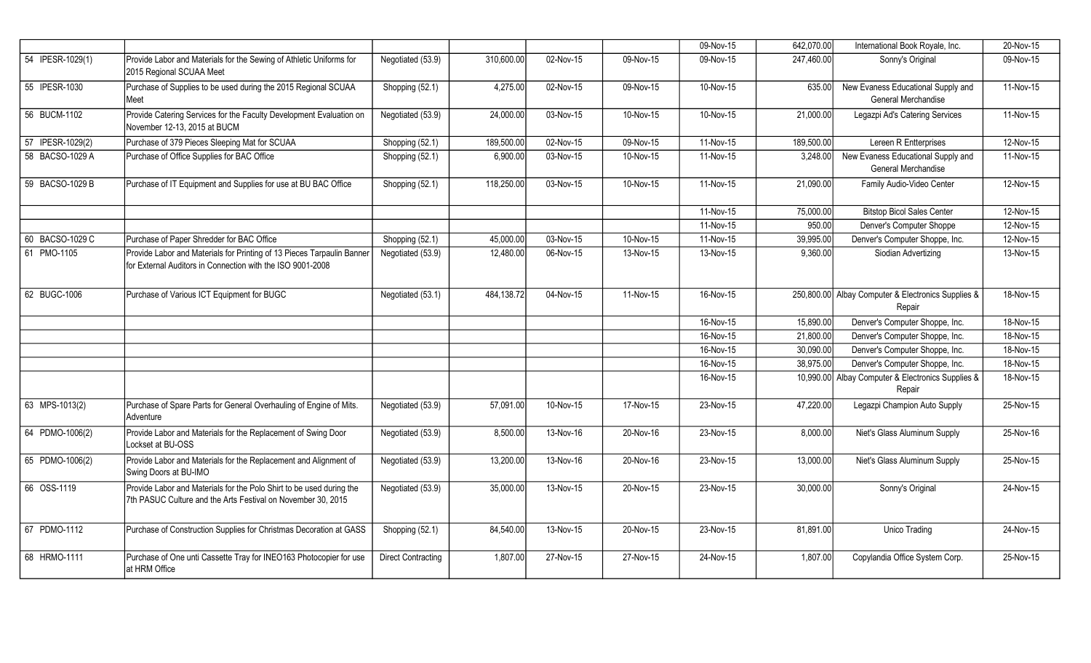|                  |                                                                                                                                      |                    |            |                         |           | 09-Nov-15 | 642,070.00 | International Book Royale, Inc.                              | 20-Nov-15 |
|------------------|--------------------------------------------------------------------------------------------------------------------------------------|--------------------|------------|-------------------------|-----------|-----------|------------|--------------------------------------------------------------|-----------|
| 54 IPESR-1029(1) | Provide Labor and Materials for the Sewing of Athletic Uniforms for<br>2015 Regional SCUAA Meet                                      | Negotiated (53.9)  | 310,600.00 | 02-Nov-15               | 09-Nov-15 | 09-Nov-15 | 247,460.00 | Sonny's Original                                             | 09-Nov-15 |
| 55 IPESR-1030    | Purchase of Supplies to be used during the 2015 Regional SCUAA<br>Meet                                                               | Shopping (52.1)    | 4,275.00   | 02-Nov-15               | 09-Nov-15 | 10-Nov-15 | 635.00     | New Evaness Educational Supply and<br>General Merchandise    | 11-Nov-15 |
| 56 BUCM-1102     | Provide Catering Services for the Faculty Development Evaluation on<br>November 12-13, 2015 at BUCM                                  | Negotiated (53.9)  | 24,000.00  | 03-Nov-15               | 10-Nov-15 | 10-Nov-15 | 21,000.00  | Legazpi Ad's Catering Services                               | 11-Nov-15 |
| 57 IPESR-1029(2) | Purchase of 379 Pieces Sleeping Mat for SCUAA                                                                                        | Shopping (52.1)    | 189,500.00 | 02-Nov-15               | 09-Nov-15 | 11-Nov-15 | 189,500.00 | Lereen R Entterprises                                        | 12-Nov-15 |
| 58 BACSO-1029 A  | Purchase of Office Supplies for BAC Office                                                                                           | Shopping (52.1)    | 6,900.00   | 03-Nov-15               | 10-Nov-15 | 11-Nov-15 | 3,248.00   | New Evaness Educational Supply and<br>General Merchandise    | 11-Nov-15 |
| 59 BACSO-1029 B  | Purchase of IT Equipment and Supplies for use at BU BAC Office                                                                       | Shopping (52.1)    | 118,250.00 | $\overline{03}$ -Nov-15 | 10-Nov-15 | 11-Nov-15 | 21,090.00  | Family Audio-Video Center                                    | 12-Nov-15 |
|                  |                                                                                                                                      |                    |            |                         |           | 11-Nov-15 | 75,000.00  | <b>Bitstop Bicol Sales Center</b>                            | 12-Nov-15 |
|                  |                                                                                                                                      |                    |            |                         |           | 11-Nov-15 | 950.00     | Denver's Computer Shoppe                                     | 12-Nov-15 |
| 60 BACSO-1029 C  | Purchase of Paper Shredder for BAC Office                                                                                            | Shopping (52.1)    | 45,000.00  | 03-Nov-15               | 10-Nov-15 | 11-Nov-15 | 39,995.00  | Denver's Computer Shoppe, Inc.                               | 12-Nov-15 |
| 61 PMO-1105      | Provide Labor and Materials for Printing of 13 Pieces Tarpaulin Banner<br>for External Auditors in Connection with the ISO 9001-2008 | Negotiated (53.9)  | 12,480.00  | 06-Nov-15               | 13-Nov-15 | 13-Nov-15 | 9,360.00   | Siodian Advertizing                                          | 13-Nov-15 |
| 62 BUGC-1006     | Purchase of Various ICT Equipment for BUGC                                                                                           | Negotiated (53.1)  | 484,138.72 | 04-Nov-15               | 11-Nov-15 | 16-Nov-15 |            | 250,800.00 Albay Computer & Electronics Supplies &<br>Repair | 18-Nov-15 |
|                  |                                                                                                                                      |                    |            |                         |           | 16-Nov-15 | 15,890.00  | Denver's Computer Shoppe, Inc.                               | 18-Nov-15 |
|                  |                                                                                                                                      |                    |            |                         |           | 16-Nov-15 | 21,800.00  | Denver's Computer Shoppe, Inc.                               | 18-Nov-15 |
|                  |                                                                                                                                      |                    |            |                         |           | 16-Nov-15 | 30,090.00  | Denver's Computer Shoppe, Inc.                               | 18-Nov-15 |
|                  |                                                                                                                                      |                    |            |                         |           | 16-Nov-15 | 38,975.00  | Denver's Computer Shoppe, Inc.                               | 18-Nov-15 |
|                  |                                                                                                                                      |                    |            |                         |           | 16-Nov-15 |            | 10,990.00 Albay Computer & Electronics Supplies &<br>Repair  | 18-Nov-15 |
| 63 MPS-1013(2)   | Purchase of Spare Parts for General Overhauling of Engine of Mits.<br>Adventure                                                      | Negotiated (53.9)  | 57,091.00  | 10-Nov-15               | 17-Nov-15 | 23-Nov-15 | 47,220.00  | Legazpi Champion Auto Supply                                 | 25-Nov-15 |
| 64 PDMO-1006(2)  | Provide Labor and Materials for the Replacement of Swing Door<br>Lockset at BU-OSS                                                   | Negotiated (53.9)  | 8,500.00   | 13-Nov-16               | 20-Nov-16 | 23-Nov-15 | 8,000.00   | Niet's Glass Aluminum Supply                                 | 25-Nov-16 |
| 65 PDMO-1006(2)  | Provide Labor and Materials for the Replacement and Alignment of<br>Swing Doors at BU-IMO                                            | Negotiated (53.9)  | 13,200.00  | 13-Nov-16               | 20-Nov-16 | 23-Nov-15 | 13,000.00  | Niet's Glass Aluminum Supply                                 | 25-Nov-15 |
| 66 OSS-1119      | Provide Labor and Materials for the Polo Shirt to be used during the<br>7th PASUC Culture and the Arts Festival on November 30, 2015 | Negotiated (53.9)  | 35,000.00  | 13-Nov-15               | 20-Nov-15 | 23-Nov-15 | 30,000.00  | Sonny's Original                                             | 24-Nov-15 |
| 67 PDMO-1112     | Purchase of Construction Supplies for Christmas Decoration at GASS                                                                   | Shopping (52.1)    | 84,540.00  | 13-Nov-15               | 20-Nov-15 | 23-Nov-15 | 81,891.00  | <b>Unico Trading</b>                                         | 24-Nov-15 |
| 68 HRMO-1111     | Purchase of One unti Cassette Tray for INEO163 Photocopier for use<br>at HRM Office                                                  | Direct Contracting | 1,807.00   | 27-Nov-15               | 27-Nov-15 | 24-Nov-15 | 1,807.00   | Copylandia Office System Corp.                               | 25-Nov-15 |